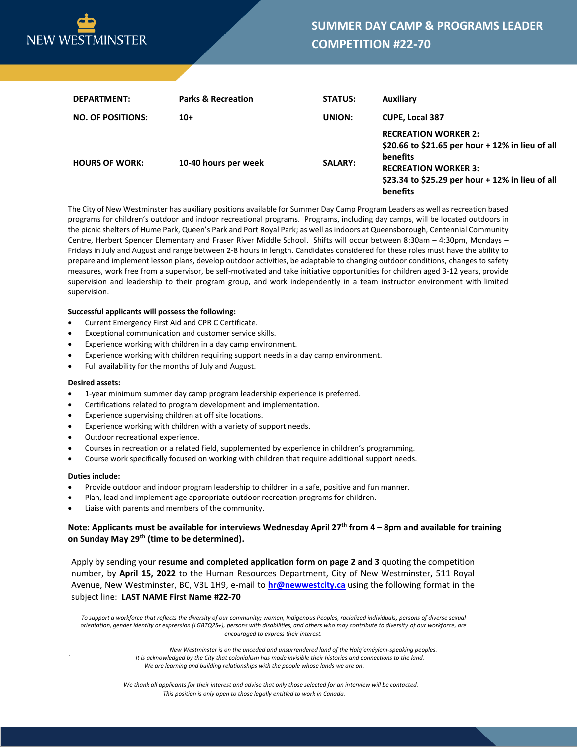

| DEPARTMENT:              | <b>Parks &amp; Recreation</b> | <b>STATUS:</b> | Auxiliary                                                                                                                                                                                  |
|--------------------------|-------------------------------|----------------|--------------------------------------------------------------------------------------------------------------------------------------------------------------------------------------------|
| <b>NO. OF POSITIONS:</b> | $10+$                         | UNION:         | <b>CUPE, Local 387</b>                                                                                                                                                                     |
| <b>HOURS OF WORK:</b>    | 10-40 hours per week          | <b>SALARY:</b> | <b>RECREATION WORKER 2:</b><br>\$20.66 to \$21.65 per hour + 12% in lieu of all<br>benefits<br><b>RECREATION WORKER 3:</b><br>\$23.34 to \$25.29 per hour + 12% in lieu of all<br>benefits |

The City of New Westminster has auxiliary positions available for Summer Day Camp Program Leaders as well as recreation based programs for children's outdoor and indoor recreational programs. Programs, including day camps, will be located outdoors in the picnic shelters of Hume Park, Queen's Park and Port Royal Park; as well as indoors at Queensborough, Centennial Community Centre, Herbert Spencer Elementary and Fraser River Middle School. Shifts will occur between 8:30am – 4:30pm, Mondays – Fridays in July and August and range between 2-8 hours in length. Candidates considered for these roles must have the ability to prepare and implement lesson plans, develop outdoor activities, be adaptable to changing outdoor conditions, changes to safety measures, work free from a supervisor, be self-motivated and take initiative opportunities for children aged 3-12 years, provide supervision and leadership to their program group, and work independently in a team instructor environment with limited supervision.

## **Successful applicants will possess the following:**

- Current Emergency First Aid and CPR C Certificate.
- Exceptional communication and customer service skills.
- Experience working with children in a day camp environment.
- Experience working with children requiring support needs in a day camp environment.
- Full availability for the months of July and August.

### **Desired assets:**

- 1-year minimum summer day camp program leadership experience is preferred.
- Certifications related to program development and implementation.
- Experience supervising children at off site locations.
- Experience working with children with a variety of support needs.
- Outdoor recreational experience.
- Courses in recreation or a related field, supplemented by experience in children's programming.
- Course work specifically focused on working with children that require additional support needs.

#### **Duties include:**

- Provide outdoor and indoor program leadership to children in a safe, positive and fun manner.
- Plan, lead and implement age appropriate outdoor recreation programs for children.
- Liaise with parents and members of the community.

## **Note: Applicants must be available for interviews Wednesday April 27th from 4 – 8pm and available for training on Sunday May 29th (time to be determined).**

Apply by sending your **resume and completed application form on page 2 and 3** quoting the competition number, by **April 15, 2022** to the Human Resources Department, City of New Westminster, 511 Royal Avenue, New Westminster, BC, V3L 1H9, e-mail to **[hr@newwestcity.ca](mailto:hr@newwestcity.ca)** using the following format in the subject line: **LAST NAME First Name #22-70**

To support a workforce that reflects the diversity of our community; women, Indigenous Peoples, racialized individuals, persons of diverse sexual *orientation, gender identity or expression (LGBTQ2S+), persons with disabilities, and others who may contribute to diversity of our workforce, are encouraged to express their interest.*

> *New Westminster is on the unceded and unsurrendered land of the Halq'eméylem-speaking peoples. ` It is acknowledged by the City that colonialism has made invisible their histories and connections to the land. We are learning and building relationships with the people whose lands we are on.*

*We thank all applicants for their interest and advise that only those selected for an interview will be contacted. This position is only open to those legally entitled to work in Canada.*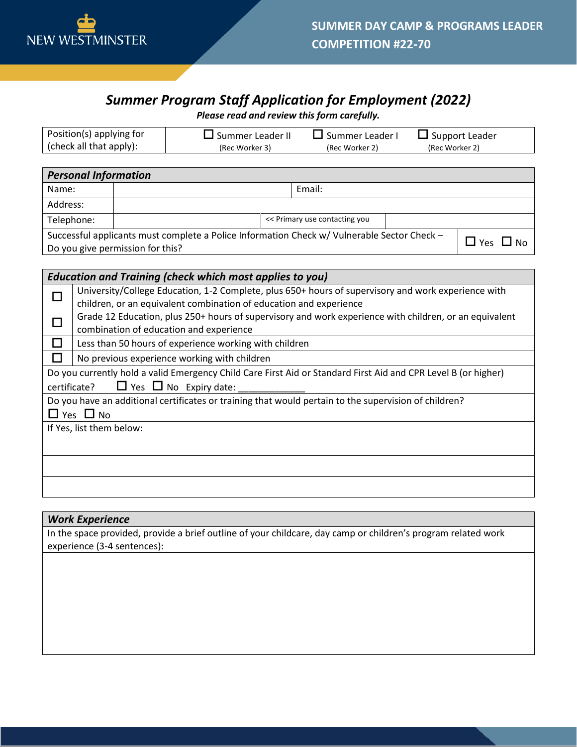

# *Summer Program Staff Application for Employment (2022)*

*Please read and review this form carefully.*

| Position(s) applying for        | $\Box$ Summer Leader II | $\Box$ Summer Leader I | $\Box$ Support Leader |  |
|---------------------------------|-------------------------|------------------------|-----------------------|--|
| $\vert$ (check all that apply): | (Rec Worker 3)          | (Rec Worker 2)         | (Rec Worker 2)        |  |

| <b>Personal Information</b>                                                                                                                                |                               |  |        |  |  |  |
|------------------------------------------------------------------------------------------------------------------------------------------------------------|-------------------------------|--|--------|--|--|--|
| Name:                                                                                                                                                      |                               |  | Email: |  |  |  |
| Address:                                                                                                                                                   |                               |  |        |  |  |  |
| Telephone:                                                                                                                                                 | << Primary use contacting you |  |        |  |  |  |
| Successful applicants must complete a Police Information Check w/ Vulnerable Sector Check -<br>$\Box$ Yes<br>$\Box$ No<br>Do you give permission for this? |                               |  |        |  |  |  |

| <b>Education and Training (check which most applies to you)</b> |                                                                                                                |  |
|-----------------------------------------------------------------|----------------------------------------------------------------------------------------------------------------|--|
|                                                                 | University/College Education, 1-2 Complete, plus 650+ hours of supervisory and work experience with            |  |
|                                                                 | children, or an equivalent combination of education and experience                                             |  |
|                                                                 | Grade 12 Education, plus 250+ hours of supervisory and work experience with children, or an equivalent         |  |
|                                                                 | combination of education and experience                                                                        |  |
|                                                                 | Less than 50 hours of experience working with children                                                         |  |
|                                                                 | No previous experience working with children                                                                   |  |
|                                                                 | Do you currently hold a valid Emergency Child Care First Aid or Standard First Aid and CPR Level B (or higher) |  |
|                                                                 | $\Box$ Yes $\Box$ No Expiry date:<br>certificate?                                                              |  |
|                                                                 | Do you have an additional certificates or training that would pertain to the supervision of children?          |  |
|                                                                 | $\Box$ Yes $\Box$ No                                                                                           |  |
|                                                                 | If Yes, list them below:                                                                                       |  |
|                                                                 |                                                                                                                |  |
|                                                                 |                                                                                                                |  |
|                                                                 |                                                                                                                |  |
|                                                                 |                                                                                                                |  |

## *Work Experience*

In the space provided, provide a brief outline of your childcare, day camp or children's program related work experience (3-4 sentences):